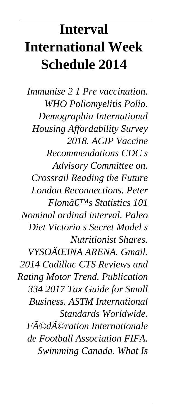# **Interval International Week Schedule 2014**

*Immunise 2 1 Pre vaccination. WHO Poliomyelitis Polio. Demographia International Housing Affordability Survey 2018. ACIP Vaccine Recommendations CDC s Advisory Committee on. Crossrail Reading the Future London Reconnections. Peter Flom's Statistics 101 Nominal ordinal interval. Paleo Diet Victoria s Secret Model s Nutritionist Shares. VYSOÄŒINA ARENA. Gmail. 2014 Cadillac CTS Reviews and Rating Motor Trend. Publication 334 2017 Tax Guide for Small Business. ASTM International Standards Worldwide. Fédération Internationale de Football Association FIFA. Swimming Canada. What Is*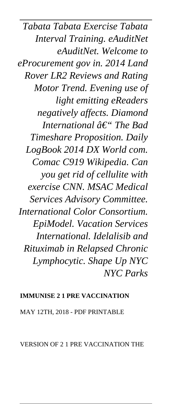*Tabata Tabata Exercise Tabata Interval Training. eAuditNet eAuditNet. Welcome to eProcurement gov in. 2014 Land Rover LR2 Reviews and Rating Motor Trend. Evening use of light emitting eReaders negatively affects. Diamond International â€*" *The Bad Timeshare Proposition. Daily LogBook 2014 DX World com. Comac C919 Wikipedia. Can you get rid of cellulite with exercise CNN. MSAC Medical Services Advisory Committee. International Color Consortium. EpiModel. Vacation Services International. Idelalisib and Rituximab in Relapsed Chronic Lymphocytic. Shape Up NYC NYC Parks*

#### **IMMUNISE 2 1 PRE VACCINATION**

MAY 12TH, 2018 - PDF PRINTABLE

VERSION OF 2 1 PRE VACCINATION THE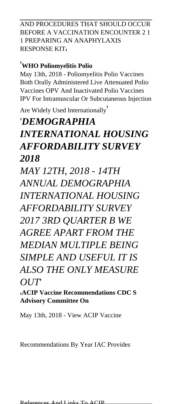AND PROCEDURES THAT SHOULD OCCUR BEFORE A VACCINATION ENCOUNTER 2 1 1 PREPARING AN ANAPHYLAXIS RESPONSE KIT.

#### '**WHO Poliomyelitis Polio**

May 13th, 2018 - Poliomyelitis Polio Vaccines Both Orally Administered Live Attenuated Polio Vaccines OPV And Inactivated Polio Vaccines IPV For Intramuscular Or Subcutaneous Injection

Are Widely Used Internationally'

# '*DEMOGRAPHIA INTERNATIONAL HOUSING AFFORDABILITY SURVEY 2018*

*MAY 12TH, 2018 - 14TH ANNUAL DEMOGRAPHIA INTERNATIONAL HOUSING AFFORDABILITY SURVEY 2017 3RD QUARTER B WE AGREE APART FROM THE MEDIAN MULTIPLE BEING SIMPLE AND USEFUL IT IS ALSO THE ONLY MEASURE OUT*'

'**ACIP Vaccine Recommendations CDC S Advisory Committee On**

May 13th, 2018 - View ACIP Vaccine

Recommendations By Year IAC Provides

References And Links To ACIP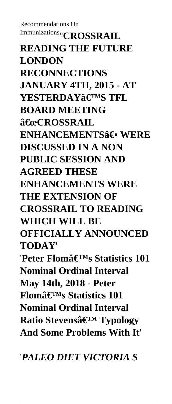Recommendations On Immunizations''**CROSSRAIL READING THE FUTURE LONDON RECONNECTIONS JANUARY 4TH, 2015 - AT YESTERDAY'S TFL BOARD MEETING "CROSSRAIL ENHANCEMENTSAE• WERE DISCUSSED IN A NON PUBLIC SESSION AND AGREED THESE ENHANCEMENTS WERE THE EXTENSION OF CROSSRAIL TO READING WHICH WILL BE OFFICIALLY ANNOUNCED TODAY**' 'Peter Flomâ€<sup>™</sup>s Statistics 101 **Nominal Ordinal Interval May 14th, 2018 - Peter Flom's Statistics 101 Nominal Ordinal Interval Ratio Stevens' Typology And Some Problems With It**'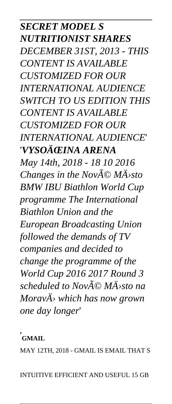*SECRET MODEL S NUTRITIONIST SHARES DECEMBER 31ST, 2013 - THIS CONTENT IS AVAILABLE CUSTOMIZED FOR OUR INTERNATIONAL AUDIENCE SWITCH TO US EDITION THIS CONTENT IS AVAILABLE CUSTOMIZED FOR OUR INTERNATIONAL AUDIENCE*' '*VYSOÄŒINA ARENA May 14th, 2018 - 18 10 2016 Changes in the Nov* $\widetilde{A} \odot M\widetilde{A}$ *sto BMW IBU Biathlon World Cup programme The International Biathlon Union and the European Broadcasting Union followed the demands of TV companies and decided to change the programme of the World Cup 2016 2017 Round 3 scheduled to Nové Město na MoravÄ› which has now grown one day longer*'

#### '**GMAIL**

MAY 12TH, 2018 - GMAIL IS EMAIL THAT S

INTUITIVE EFFICIENT AND USEFUL 15 GB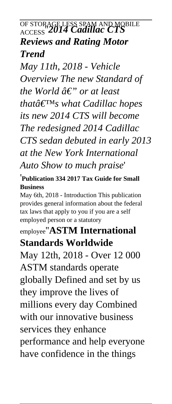# OF STORAGE LESS SPAM AND MOBILE ACCESS''*2014 Cadillac CTS Reviews and Rating Motor Trend*

*May 11th, 2018 - Vehicle Overview The new Standard of the World*  $\hat{a} \in \hat{B}$  *or at least thatâ€*<sup>™</sup>*s* what Cadillac hopes *its new 2014 CTS will become The redesigned 2014 Cadillac CTS sedan debuted in early 2013 at the New York International Auto Show to much praise*'

#### '**Publication 334 2017 Tax Guide for Small Business**

May 6th, 2018 - Introduction This publication provides general information about the federal tax laws that apply to you if you are a self employed person or a statutory

# employee''**ASTM International Standards Worldwide**

May 12th, 2018 - Over 12 000 ASTM standards operate globally Defined and set by us they improve the lives of millions every day Combined with our innovative business services they enhance performance and help everyone have confidence in the things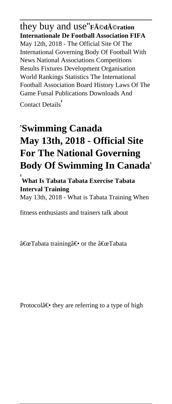they buy and use''**Fédération Internationale De Football Association FIFA** May 12th, 2018 - The Official Site Of The International Governing Body Of Football With News National Associations Competitions Results Fixtures Development Organisation World Rankings Statistics The International Football Association Board History Laws Of The Game Futsal Publications Downloads And

Contact Details'

# '**Swimming Canada May 13th, 2018 - Official Site For The National Governing Body Of Swimming In Canada**'

'**What Is Tabata Tabata Exercise Tabata Interval Training**

May 13th, 2018 - What is Tabata Training When

fitness enthusiasts and trainers talk about

 $\hat{a} \in \mathcal{C}$  Tabata training  $\hat{a} \in \mathcal{C}$  or the  $\hat{a} \in \mathcal{C}$  Tabata

Protocolâ $\epsilon$  they are referring to a type of high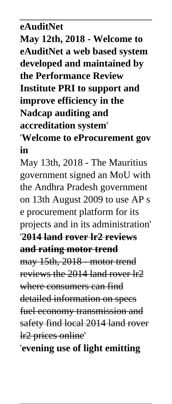**eAuditNet May 12th, 2018 - Welcome to eAuditNet a web based system developed and maintained by the Performance Review Institute PRI to support and improve efficiency in the Nadcap auditing and accreditation system**' '**Welcome to eProcurement gov**

**in**

May 13th, 2018 - The Mauritius government signed an MoU with the Andhra Pradesh government on 13th August 2009 to use AP s e procurement platform for its projects and in its administration' '**2014 land rover lr2 reviews**

**and rating motor trend**

may 15th, 2018 - motor trend reviews the 2014 land rover lr2 where consumers can find detailed information on specs fuel economy transmission and safety find local 2014 land rover lr2 prices online'

'**evening use of light emitting**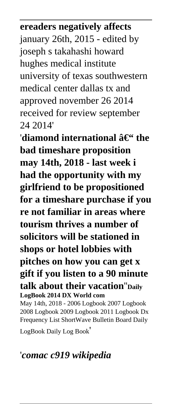### **ereaders negatively affects**

january 26th, 2015 - edited by joseph s takahashi howard hughes medical institute university of texas southwestern medical center dallas tx and approved november 26 2014 received for review september 24 2014'

'diamond international  $\hat{a}\in$ " the **bad timeshare proposition may 14th, 2018 - last week i had the opportunity with my girlfriend to be propositioned for a timeshare purchase if you re not familiar in areas where tourism thrives a number of solicitors will be stationed in shops or hotel lobbies with pitches on how you can get x gift if you listen to a 90 minute talk about their vacation**''**Daily LogBook 2014 DX World com**

May 14th, 2018 - 2006 Logbook 2007 Logbook 2008 Logbook 2009 Logbook 2011 Logbook Dx Frequency List ShortWave Bulletin Board Daily

LogBook Daily Log Book'

### '*comac c919 wikipedia*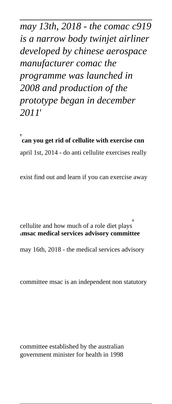*may 13th, 2018 - the comac c919 is a narrow body twinjet airliner developed by chinese aerospace manufacturer comac the programme was launched in 2008 and production of the prototype began in december 2011*'

'**can you get rid of cellulite with exercise cnn** april 1st, 2014 - do anti cellulite exercises really

exist find out and learn if you can exercise away

cellulite and how much of a role diet plays' '**msac medical services advisory committee**

may 16th, 2018 - the medical services advisory

committee msac is an independent non statutory

committee established by the australian government minister for health in 1998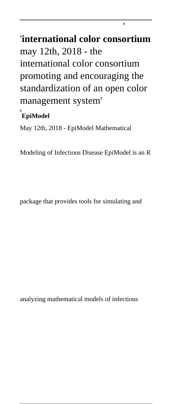# '**international color consortium** may 12th, 2018 - the international color consortium promoting and encouraging the standardization of an open color management system'

'

#### '**EpiModel**

May 12th, 2018 - EpiModel Mathematical

Modeling of Infectious Disease EpiModel is an R

package that provides tools for simulating and

analyzing mathematical models of infectious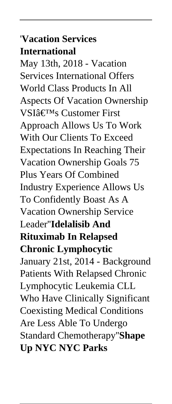### '**Vacation Services International**

May 13th, 2018 - Vacation Services International Offers World Class Products In All Aspects Of Vacation Ownership VSIâ€<sup>™</sup>s Customer First Approach Allows Us To Work With Our Clients To Exceed Expectations In Reaching Their Vacation Ownership Goals 75 Plus Years Of Combined Industry Experience Allows Us To Confidently Boast As A Vacation Ownership Service Leader''**Idelalisib And Rituximab In Relapsed Chronic Lymphocytic** January 21st, 2014 - Background Patients With Relapsed Chronic Lymphocytic Leukemia CLL Who Have Clinically Significant Coexisting Medical Conditions Are Less Able To Undergo Standard Chemotherapy''**Shape Up NYC NYC Parks**